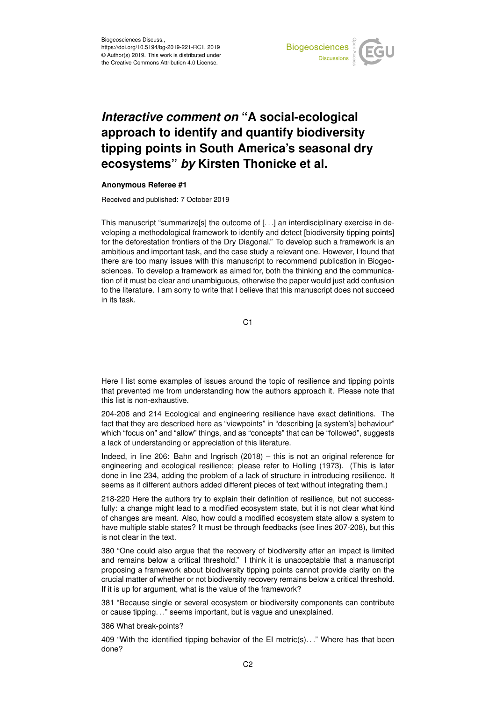

## *Interactive comment on* **"A social-ecological approach to identify and quantify biodiversity tipping points in South America's seasonal dry ecosystems"** *by* **Kirsten Thonicke et al.**

## **Anonymous Referee #1**

Received and published: 7 October 2019

This manuscript "summarize[s] the outcome of [. . .] an interdisciplinary exercise in developing a methodological framework to identify and detect [biodiversity tipping points] for the deforestation frontiers of the Dry Diagonal." To develop such a framework is an ambitious and important task, and the case study a relevant one. However, I found that there are too many issues with this manuscript to recommend publication in Biogeosciences. To develop a framework as aimed for, both the thinking and the communication of it must be clear and unambiguous, otherwise the paper would just add confusion to the literature. I am sorry to write that I believe that this manuscript does not succeed in its task.

C1

Here I list some examples of issues around the topic of resilience and tipping points that prevented me from understanding how the authors approach it. Please note that this list is non-exhaustive.

204-206 and 214 Ecological and engineering resilience have exact definitions. The fact that they are described here as "viewpoints" in "describing [a system's] behaviour" which "focus on" and "allow" things, and as "concepts" that can be "followed", suggests a lack of understanding or appreciation of this literature.

Indeed, in line 206: Bahn and Ingrisch (2018) – this is not an original reference for engineering and ecological resilience; please refer to Holling (1973). (This is later done in line 234, adding the problem of a lack of structure in introducing resilience. It seems as if different authors added different pieces of text without integrating them.)

218-220 Here the authors try to explain their definition of resilience, but not successfully: a change might lead to a modified ecosystem state, but it is not clear what kind of changes are meant. Also, how could a modified ecosystem state allow a system to have multiple stable states? It must be through feedbacks (see lines 207-208), but this is not clear in the text.

380 "One could also argue that the recovery of biodiversity after an impact is limited and remains below a critical threshold." I think it is unacceptable that a manuscript proposing a framework about biodiversity tipping points cannot provide clarity on the crucial matter of whether or not biodiversity recovery remains below a critical threshold. If it is up for argument, what is the value of the framework?

381 "Because single or several ecosystem or biodiversity components can contribute or cause tipping. . ." seems important, but is vague and unexplained.

386 What break-points?

409 "With the identified tipping behavior of the EI metric(s)..." Where has that been done?